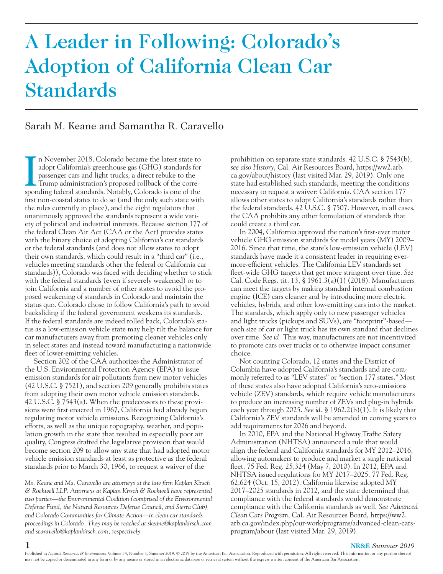# A Leader in Following: Colorado's Adoption of California Clean Car Standards

# Sarah M. Keane and Samantha R. Caravello

In November 2018, Colorado became the latest state to adopt California's greenhouse gas (GHG) standards for passenger cars and light trucks, a direct rebuke to the Trump administration's proposed rollback of the correspond n November 2018, Colorado became the latest state to adopt California's greenhouse gas (GHG) standards for passenger cars and light trucks, a direct rebuke to the Trump administration's proposed rollback of the correfirst non-coastal states to do so (and the only such state with the rules currently in place), and the eight regulators that unanimously approved the standards represent a wide variety of political and industrial interests. Because section 177 of the federal Clean Air Act (CAA or the Act) provides states with the binary choice of adopting California's car standards or the federal standards (and does not allow states to adopt their own standards, which could result in a "third car" (i.e., vehicles meeting standards other the federal or California car standards)), Colorado was faced with deciding whether to stick with the federal standards (even if severely weakened) or to join California and a number of other states to avoid the proposed weakening of standards in Colorado and maintain the status quo. Colorado chose to follow California's path to avoid backsliding if the federal government weakens its standards. If the federal standards are indeed rolled back, Colorado's status as a low-emission vehicle state may help tilt the balance for car manufacturers away from promoting cleaner vehicles only in select states and instead toward manufacturing a nationwide fleet of lower-emitting vehicles.

Section 202 of the CAA authorizes the Administrator of the U.S. Environmental Protection Agency (EPA) to issue emission standards for air pollutants from new motor vehicles (42 U.S.C. § 7521), and section 209 generally prohibits states from adopting their own motor vehicle emission standards. 42 U.S.C. § 7543(a). When the predecessors to these provisions were first enacted in 1967, California had already begun regulating motor vehicle emissions. Recognizing California's efforts, as well as the unique topography, weather, and population growth in the state that resulted in especially poor air quality, Congress drafted the legislative provision that would become section 209 to allow any state that had adopted motor vehicle emission standards at least as protective as the federal standards prior to March 30, 1966, to request a waiver of the

*Ms. Keane and Ms. Caravello are attorneys at the law firm Kaplan Kirsch & Rockwell LLP. Attorneys at Kaplan Kirsch & Rockwell have represented two parties—the Environmental Coalition (comprised of the Environmental Defense Fund, the Natural Resources Defense Council, and Sierra Club) and Colorado Communities for Climate Action—in clean car standards proceedings in Colorado. They may be reached at skeane@kaplankirsch.com and scaravello@kaplankirsch.com, respectively.*

prohibition on separate state standards. 42 U.S.C. § 7543(b); *see also History*, Cal. Air Resources Board, https://ww2.arb. ca.gov/about/history (last visited Mar. 29, 2019). Only one state had established such standards, meeting the conditions necessary to request a waiver: California. CAA section 177 allows other states to adopt California's standards rather than the federal standards. 42 U.S.C. § 7507. However, in all cases, the CAA prohibits any other formulation of standards that could create a third car.

In 2004, California approved the nation's first-ever motor vehicle GHG emission standards for model years (MY) 2009– 2016. Since that time, the state's low-emission vehicle (LEV) standards have made it a consistent leader in requiring evermore-efficient vehicles. The California LEV standards set fleet-wide GHG targets that get more stringent over time. *See*  Cal. Code Regs. tit. 13, § 1961.3(a)(1) (2018). Manufacturers can meet the targets by making standard internal combustion engine (ICE) cars cleaner and by introducing more electric vehicles, hybrids, and other low-emitting cars into the market. The standards, which apply only to new passenger vehicles and light trucks (pickups and SUVs), are "footprint"-based each size of car or light truck has its own standard that declines over time. *See id.* This way, manufacturers are not incentivized to promote cars over trucks or to otherwise impact consumer choice.

Not counting Colorado, 12 states and the District of Columbia have adopted California's standards and are commonly referred to as "LEV states" or "section 177 states." Most of these states also have adopted California's zero-emissions vehicle (ZEV) standards, which require vehicle manufacturers to produce an increasing number of ZEVs and plug-in hybrids each year through 2025. *See id.* § 1962.2(b)(1). It is likely that California's ZEV standards will be amended in coming years to add requirements for 2026 and beyond.

In 2010, EPA and the National Highway Traffic Safety Administration (NHTSA) announced a rule that would align the federal and California standards for MY 2012–2016, allowing automakers to produce and market a single national fleet. 75 Fed. Reg. 25,324 (May 7, 2010). In 2012, EPA and NHTSA issued regulations for MY 2017–2025. 77 Fed. Reg. 62,624 (Oct. 15, 2012). California likewise adopted MY 2017–2025 standards in 2012, and the state determined that compliance with the federal standards would demonstrate compliance with the California standards as well. *See Advanced Clean Cars Program*, Cal. Air Resources Board, https://ww2. arb.ca.gov/index.php/our-work/programs/advanced-clean-carsprogram/about (last visited Mar. 29, 2019).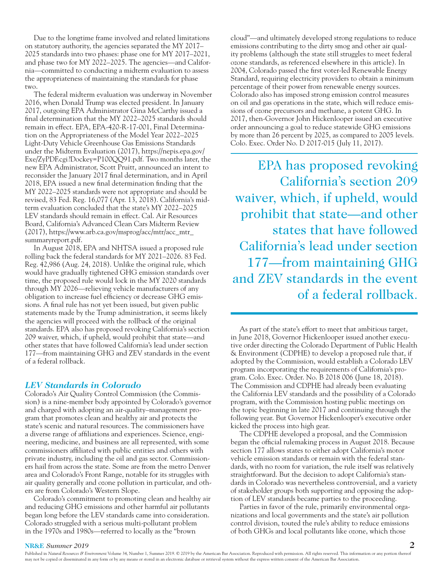Due to the longtime frame involved and related limitations on statutory authority, the agencies separated the MY 2017– 2025 standards into two phases: phase one for MY 2017–2021, and phase two for MY 2022–2025. The agencies—and California—committed to conducting a midterm evaluation to assess the appropriateness of maintaining the standards for phase two.

The federal midterm evaluation was underway in November 2016, when Donald Trump was elected president. In January 2017, outgoing EPA Administrator Gina McCarthy issued a final determination that the MY 2022–2025 standards should remain in effect. EPA, EPA-420-R-17-001, Final Determination on the Appropriateness of the Model Year 2022–2025 Light-Duty Vehicle Greenhouse Gas Emissions Standards under the Midterm Evaluation (2017), https://nepis.epa.gov/ Exe/ZyPDF.cgi?Dockey=P100QQ91.pdf. Two months later, the new EPA Administrator, Scott Pruitt, announced an intent to reconsider the January 2017 final determination, and in April 2018, EPA issued a new final determination finding that the MY 2022–2025 standards were not appropriate and should be revised, 83 Fed. Reg. 16,077 (Apr. 13, 2018). California's midterm evaluation concluded that the state's MY 2022–2025 LEV standards should remain in effect. Cal. Air Resources Board, California's Advanced Clean Cars Midterm Review (2017), https://www.arb.ca.gov/msprog/acc/mtr/acc\_mtr\_ summaryreport.pdf.

In August 2018, EPA and NHTSA issued a proposed rule rolling back the federal standards for MY 2021–2026. 83 Fed. Reg. 42,986 (Aug. 24, 2018). Unlike the original rule, which would have gradually tightened GHG emission standards over time, the proposed rule would lock in the MY 2020 standards through MY 2026—relieving vehicle manufacturers of any obligation to increase fuel efficiency or decrease GHG emissions. A final rule has not yet been issued, but given public statements made by the Trump administration, it seems likely the agencies will proceed with the rollback of the original standards. EPA also has proposed revoking California's section 209 waiver, which, if upheld, would prohibit that state—and other states that have followed California's lead under section 177—from maintaining GHG and ZEV standards in the event of a federal rollback.

#### *LEV Standards in Colorado*

Colorado's Air Quality Control Commission (the Commission) is a nine-member body appointed by Colorado's governor and charged with adopting an air-quality–management program that promotes clean and healthy air and protects the state's scenic and natural resources. The commissioners have a diverse range of affiliations and experiences. Science, engineering, medicine, and business are all represented, with some commissioners affiliated with public entities and others with private industry, including the oil and gas sector. Commissioners hail from across the state. Some are from the metro Denver area and Colorado's Front Range, notable for its struggles with air quality generally and ozone pollution in particular, and others are from Colorado's Western Slope.

Colorado's commitment to promoting clean and healthy air and reducing GHG emissions and other harmful air pollutants began long before the LEV standards came into consideration. Colorado struggled with a serious multi-pollutant problem in the 1970s and 1980s—referred to locally as the "brown

cloud"—and ultimately developed strong regulations to reduce emissions contributing to the dirty smog and other air quality problems (although the state still struggles to meet federal ozone standards, as referenced elsewhere in this article). In 2004, Colorado passed the first voter-led Renewable Energy Standard, requiring electricity providers to obtain a minimum percentage of their power from renewable energy sources. Colorado also has imposed strong emission control measures on oil and gas operations in the state, which will reduce emissions of ozone precursors and methane, a potent GHG. In 2017, then-Governor John Hickenlooper issued an executive order announcing a goal to reduce statewide GHG emissions by more than 26 percent by 2025, as compared to 2005 levels. Colo. Exec. Order No. D 2017-015 (July 11, 2017).

EPA has proposed revoking California's section 209 waiver, which, if upheld, would prohibit that state—and other states that have followed California's lead under section 177—from maintaining GHG and ZEV standards in the event of a federal rollback.

As part of the state's effort to meet that ambitious target, in June 2018, Governor Hickenlooper issued another executive order directing the Colorado Department of Public Health & Environment (CDPHE) to develop a proposed rule that, if adopted by the Commission, would establish a Colorado LEV program incorporating the requirements of California's program. Colo. Exec. Order. No. B 2018 006 (June 18, 2018). The Commission and CDPHE had already been evaluating the California LEV standards and the possibility of a Colorado program, with the Commission hosting public meetings on the topic beginning in late 2017 and continuing through the following year. But Governor Hickenlooper's executive order kicked the process into high gear.

The CDPHE developed a proposal, and the Commission began the official rulemaking process in August 2018. Because section 177 allows states to either adopt California's motor vehicle emission standards or remain with the federal standards, with no room for variation, the rule itself was relatively straightforward. But the decision to adopt California's standards in Colorado was nevertheless controversial, and a variety of stakeholder groups both supporting and opposing the adoption of LEV standards became parties to the proceeding.

Parties in favor of the rule, primarily environmental organizations and local governments and the state's air pollution control division, touted the rule's ability to reduce emissions of both GHGs and local pollutants like ozone, which those

#### **NR&E** *Summer 2019* **2**

Published in *Natural Resources & Environment* Volume 34, Number 1, Summer 2019. © 2019 by the American Bar Association. Reproduced with permission. All rights reserved. This information or any portion thereof may not be copied or disseminated in any form or by any means or stored in an electronic database or retrieval system without the express written consent of the American Bar Association.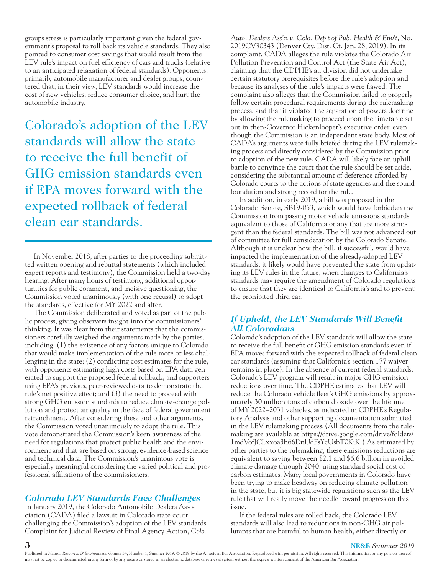groups stress is particularly important given the federal government's proposal to roll back its vehicle standards. They also pointed to consumer cost savings that would result from the LEV rule's impact on fuel efficiency of cars and trucks (relative to an anticipated relaxation of federal standards). Opponents, primarily automobile manufacturer and dealer groups, countered that, in their view, LEV standards would increase the cost of new vehicles, reduce consumer choice, and hurt the automobile industry.

Colorado's adoption of the LEV standards will allow the state to receive the full benefit of GHG emission standards even if EPA moves forward with the expected rollback of federal clean car standards.

In November 2018, after parties to the proceeding submitted written opening and rebuttal statements (which included expert reports and testimony), the Commission held a two-day hearing. After many hours of testimony, additional opportunities for public comment, and incisive questioning, the Commission voted unanimously (with one recusal) to adopt the standards, effective for MY 2022 and after.

The Commission deliberated and voted as part of the public process, giving observers insight into the commissioners' thinking. It was clear from their statements that the commissioners carefully weighed the arguments made by the parties, including: (1) the existence of any factors unique to Colorado that would make implementation of the rule more or less challenging in the state; (2) conflicting cost estimates for the rule, with opponents estimating high costs based on EPA data generated to support the proposed federal rollback, and supporters using EPA's previous, peer-reviewed data to demonstrate the rule's net positive effect; and (3) the need to proceed with strong GHG emission standards to reduce climate-change pollution and protect air quality in the face of federal government retrenchment. After considering these and other arguments, the Commission voted unanimously to adopt the rule. This vote demonstrated the Commission's keen awareness of the need for regulations that protect public health and the environment and that are based on strong, evidence-based science and technical data. The Commission's unanimous vote is especially meaningful considering the varied political and professional affiliations of the commissioners.

# *Colorado LEV Standards Face Challenges*

In January 2019, the Colorado Automobile Dealers Association (CADA) filed a lawsuit in Colorado state court challenging the Commission's adoption of the LEV standards. Complaint for Judicial Review of Final Agency Action, *Colo.* 

*Auto. Dealers Ass'n v. Colo. Dep't of Pub. Health & Env't*, No. 2019CV30343 (Denver Cty. Dist. Ct. Jan. 28, 2019). In its complaint, CADA alleges the rule violates the Colorado Air Pollution Prevention and Control Act (the State Air Act), claiming that the CDPHE's air division did not undertake certain statutory prerequisites before the rule's adoption and because its analyses of the rule's impacts were flawed. The complaint also alleges that the Commission failed to properly follow certain procedural requirements during the rulemaking process, and that it violated the separation of powers doctrine by allowing the rulemaking to proceed upon the timetable set out in then-Governor Hickenlooper's executive order, even though the Commission is an independent state body. Most of CADA's arguments were fully briefed during the LEV rulemaking process and directly considered by the Commission prior to adoption of the new rule. CADA will likely face an uphill battle to convince the court that the rule should be set aside, considering the substantial amount of deference afforded by Colorado courts to the actions of state agencies and the sound foundation and strong record for the rule.

In addition, in early 2019, a bill was proposed in the Colorado Senate, SB19-053, which would have forbidden the Commission from passing motor vehicle emissions standards equivalent to those of California or any that are more stringent than the federal standards. The bill was not advanced out of committee for full consideration by the Colorado Senate. Although it is unclear how the bill, if successful, would have impacted the implementation of the already-adopted LEV standards, it likely would have prevented the state from updating its LEV rules in the future, when changes to California's standards may require the amendment of Colorado regulations to ensure that they are identical to California's and to prevent the prohibited third car.

## *If Upheld, the LEV Standards Will Benefit All Coloradans*

Colorado's adoption of the LEV standards will allow the state to receive the full benefit of GHG emission standards even if EPA moves forward with the expected rollback of federal clean car standards (assuming that California's section 177 waiver remains in place). In the absence of current federal standards, Colorado's LEV program will result in major GHG emission reductions over time. The CDPHE estimates that LEV will reduce the Colorado vehicle fleet's GHG emissions by approximately 30 million tons of carbon dioxide over the lifetime of MY 2022–2031 vehicles, as indicated in CDPHE's Regulatory Analysis and other supporting documentation submitted in the LEV rulemaking process.(All documents from the rulemaking are available at https://drive.google.com/drive/folders/ 1mdVofJCLxxoa3h66DnUdFsYcUsbT0KiK.) As estimated by other parties to the rulemaking, these emissions reductions are equivalent to saving between \$2.1 and \$6.6 billion in avoided climate damage through 2040, using standard social cost of carbon estimates. Many local governments in Colorado have been trying to make headway on reducing climate pollution in the state, but it is big statewide regulations such as the LEV rule that will really move the needle toward progress on this issue.

If the federal rules are rolled back, the Colorado LEV standards will also lead to reductions in non-GHG air pollutants that are harmful to human health, either directly or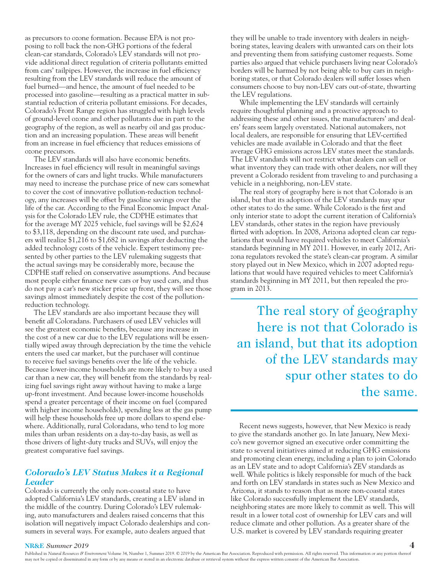as precursors to ozone formation. Because EPA is not proposing to roll back the non-GHG portions of the federal clean-car standards, Colorado's LEV standards will not provide additional direct regulation of criteria pollutants emitted from cars' tailpipes. However, the increase in fuel efficiency resulting from the LEV standards will reduce the amount of fuel burned—and hence, the amount of fuel needed to be processed into gasoline—resulting as a practical matter in substantial reduction of criteria pollutant emissions. For decades, Colorado's Front Range region has struggled with high levels of ground-level ozone and other pollutants due in part to the geography of the region, as well as nearby oil and gas production and an increasing population. These areas will benefit from an increase in fuel efficiency that reduces emissions of ozone precursors.

The LEV standards will also have economic benefits. Increases in fuel efficiency will result in meaningful savings for the owners of cars and light trucks. While manufacturers may need to increase the purchase price of new cars somewhat to cover the cost of innovative pollution-reduction technology, any increases will be offset by gasoline savings over the life of the car. According to the Final Economic Impact Analysis for the Colorado LEV rule, the CDPHE estimates that for the average MY 2025 vehicle, fuel savings will be \$2,624 to \$3,118, depending on the discount rate used, and purchasers will realize \$1,216 to \$1,682 in savings after deducting the added technology costs of the vehicle. Expert testimony presented by other parties to the LEV rulemaking suggests that the actual savings may be considerably more, because the CDPHE staff relied on conservative assumptions. And because most people either finance new cars or buy used cars, and thus do not pay a car's new sticker price up front, they will see those savings almost immediately despite the cost of the pollutionreduction technology.

The LEV standards are also important because they will benefit *all* Coloradans. Purchasers of used LEV vehicles will see the greatest economic benefits, because any increase in the cost of a new car due to the LEV regulations will be essentially wiped away through depreciation by the time the vehicle enters the used car market, but the purchaser will continue to receive fuel savings benefits over the life of the vehicle. Because lower-income households are more likely to buy a used car than a new car, they will benefit from the standards by realizing fuel savings right away without having to make a large up-front investment. And because lower-income households spend a greater percentage of their income on fuel (compared with higher income households), spending less at the gas pump will help these households free up more dollars to spend elsewhere. Additionally, rural Coloradans, who tend to log more miles than urban residents on a day-to-day basis, as well as those drivers of light-duty trucks and SUVs, will enjoy the greatest comparative fuel savings.

#### *Colorado's LEV Status Makes it a Regional Leader*

Colorado is currently the only non-coastal state to have adopted California's LEV standards, creating a LEV island in the middle of the country. During Colorado's LEV rulemaking, auto manufacturers and dealers raised concerns that this isolation will negatively impact Colorado dealerships and consumers in several ways. For example, auto dealers argued that

they will be unable to trade inventory with dealers in neighboring states, leaving dealers with unwanted cars on their lots and preventing them from satisfying customer requests. Some parties also argued that vehicle purchasers living near Colorado's borders will be harmed by not being able to buy cars in neighboring states, or that Colorado dealers will suffer losses when consumers choose to buy non-LEV cars out-of-state, thwarting the LEV regulations.

While implementing the LEV standards will certainly require thoughtful planning and a proactive approach to addressing these and other issues, the manufacturers' and dealers' fears seem largely overstated. National automakers, not local dealers, are responsible for ensuring that LEV-certified vehicles are made available in Colorado and that the fleet average GHG emissions across LEV states meet the standards. The LEV standards will not restrict what dealers can sell or what inventory they can trade with other dealers, nor will they prevent a Colorado resident from traveling to and purchasing a vehicle in a neighboring, non-LEV state.

The real story of geography here is not that Colorado is an island, but that its adoption of the LEV standards may spur other states to do the same. While Colorado is the first and only interior state to adopt the current iteration of California's LEV standards, other states in the region have previously flirted with adoption. In 2008, Arizona adopted clean car regulations that would have required vehicles to meet California's standards beginning in MY 2011. However, in early 2012, Arizona regulators revoked the state's clean-car program. A similar story played out in New Mexico, which in 2007 adopted regulations that would have required vehicles to meet California's standards beginning in MY 2011, but then repealed the program in 2013.

The real story of geography here is not that Colorado is an island, but that its adoption of the LEV standards may spur other states to do the same.

Recent news suggests, however, that New Mexico is ready to give the standards another go. In late January, New Mexico's new governor signed an executive order committing the state to several initiatives aimed at reducing GHG emissions and promoting clean energy, including a plan to join Colorado as an LEV state and to adopt California's ZEV standards as well. While politics is likely responsible for much of the back and forth on LEV standards in states such as New Mexico and Arizona, it stands to reason that as more non-coastal states like Colorado successfully implement the LEV standards, neighboring states are more likely to commit as well. This will result in a lower total cost of ownership for LEV cars and will reduce climate and other pollution. As a greater share of the U.S. market is covered by LEV standards requiring greater

#### **NR&E** *Summer 2019* **4**

Published in *Natural Resources & Environment* Volume 34, Number 1, Summer 2019. © 2019 by the American Bar Association. Reproduced with permission. All rights reserved. This information or any portion thereof may not be copied or disseminated in any form or by any means or stored in an electronic database or retrieval system without the express written consent of the American Bar Association.